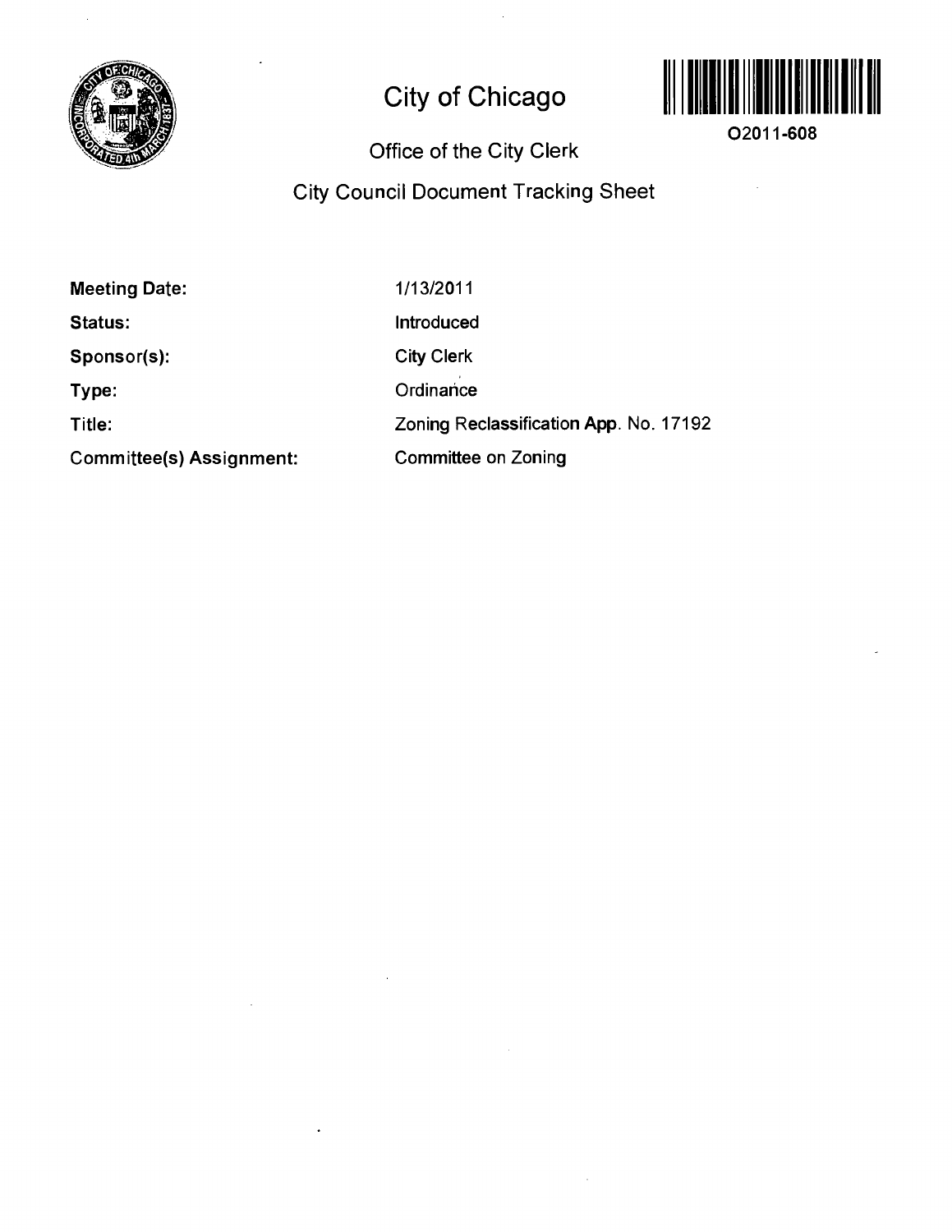

# **City of Chicago**



**02011-608** 

l.

## **Office of the City Clerk**

## **City Council Document Tracking Sheet**

**Meeting Date: Status: Sponsor(s): Type: Title: Committee(s) Assignment:**  1/13/2011 Introduced City Clerk **Ordinance** Zoning Reclassification App. No. 17192 Committee on Zoning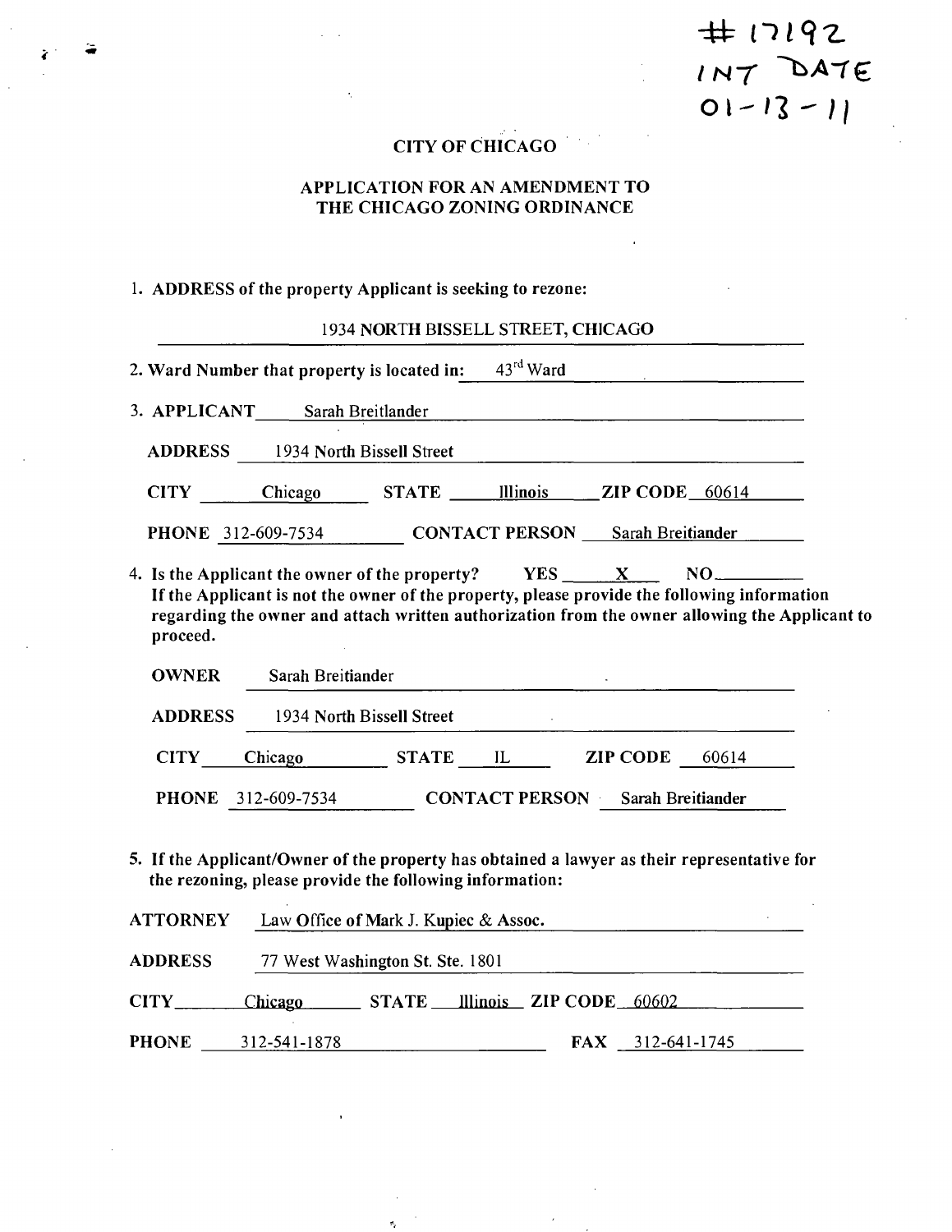$+17192$  $IN7$  DATE<br>01-13-11

## **CITY OF CHICAGO**

#### **APPLICATION FOR AN AMENDMENT TO THE CHICAGO ZONING ORDINANCE**

## **1. ADDRESS of the property Applicant is seeking to rezone:**

## 1934 NORTH BISSELL STREET, CHICAGO

|                       | 2. Ward Number that property is located in:                              | $43^{\text{rd}}$ Ward                   |                           |                                                                                                                                                                                              |
|-----------------------|--------------------------------------------------------------------------|-----------------------------------------|---------------------------|----------------------------------------------------------------------------------------------------------------------------------------------------------------------------------------------|
|                       | 3. APPLICANT Sarah Breitlander Sarah Expedition of the Sarah Breitlander |                                         |                           |                                                                                                                                                                                              |
| <b>ADDRESS</b>        | 1934 North Bissell Street                                                |                                         |                           |                                                                                                                                                                                              |
|                       | CITY Chicago                                                             | STATE Illinois ZIP CODE 60614           |                           |                                                                                                                                                                                              |
|                       | PHONE 312-609-7534                                                       | <b>CONTACT PERSON</b> Sarah Breitiander |                           |                                                                                                                                                                                              |
| proceed.              | 4. Is the Applicant the owner of the property? $YES$ $X$                 |                                         |                           | If the Applicant is not the owner of the property, please provide the following information<br>regarding the owner and attach written authorization from the owner allowing the Applicant to |
| <b>OWNER</b>          | Sarah Breitiander                                                        |                                         |                           |                                                                                                                                                                                              |
| <b>ADDRESS</b>        | 1934 North Bissell Street                                                |                                         |                           |                                                                                                                                                                                              |
| <b>CITY</b>           | Chicago STATE IL                                                         |                                         | $\mathbf{ZIP}$ CODE 60614 |                                                                                                                                                                                              |
|                       | <b>PHONE</b> 312-609-7534                                                | <b>CONTACT PERSON</b> Sarah Breitiander |                           |                                                                                                                                                                                              |
|                       | the rezoning, please provide the following information:                  |                                         |                           | 5. If the Applicant/Owner of the property has obtained a lawyer as their representative for                                                                                                  |
| <b>ATTORNEY</b>       | Law Office of Mark J. Kupiec & Assoc.                                    |                                         |                           |                                                                                                                                                                                              |
| <b>ADDRESS</b>        | 77 West Washington St. Ste. 1801                                         |                                         |                           |                                                                                                                                                                                              |
| $CITY$ <sub>___</sub> | Chicago STATE Illinois ZIP CODE 60602                                    |                                         |                           |                                                                                                                                                                                              |
| <b>PHONE</b>          | 312-541-1878                                                             | <b>FAX</b>                              | 312-641-1745              |                                                                                                                                                                                              |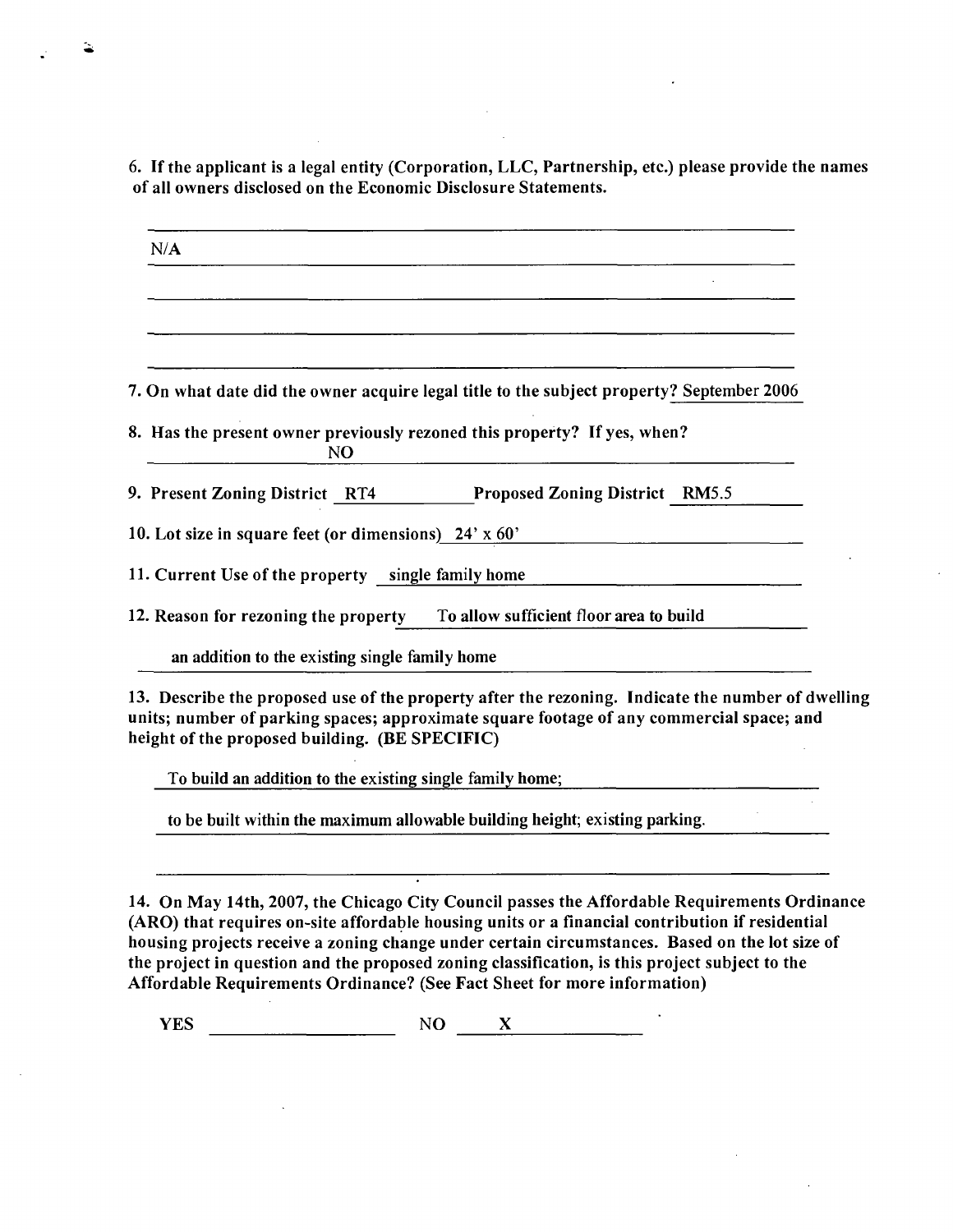**6. If the applicant is a legal entity (Corporation, LLC, Partnership, etc.) please provide the names of all owners disclosed on the Economic Disclosure Statements.** 

**N/A**  7. On what date did the owner acquire legal title to the subject property? September 2006 **8. Has the present owner previously rezoned this property? If yes, when? NO**  9. Present Zoning District RT4 Proposed Zoning District RM5.5 **10. Lot size in square feet (or dimensions) 24' x 60'**  11. Current Use of the property single family home 12. Reason for rezoning the property To allow sufficient floor area to build an addition to the existing single family home

13. Describe the proposed use of the property after the rezoning. Indicate the number of dwelling **units; number of parking spaces; approximate square footage of any commercial space; and height of the proposed building. (BE SPECIFIC)** 

To build an addition to the existing single family home;

to be built within the maximum allowable building height; existing parking.

**14. On May 14th, 2007, the Chicago City Council passes the Affordable Requirements Ordinance (ARO) that requires on-site affordable housing units or a financial contribution if residential housing projects receive a zoning change under certain circumstances. Based on the lot size of the project in question and the proposed zoning classification, is this project subject to the Affordable Requirements Ordinance? (See Fact Sheet for more information)** 

 $YES$  NO  $X$  NO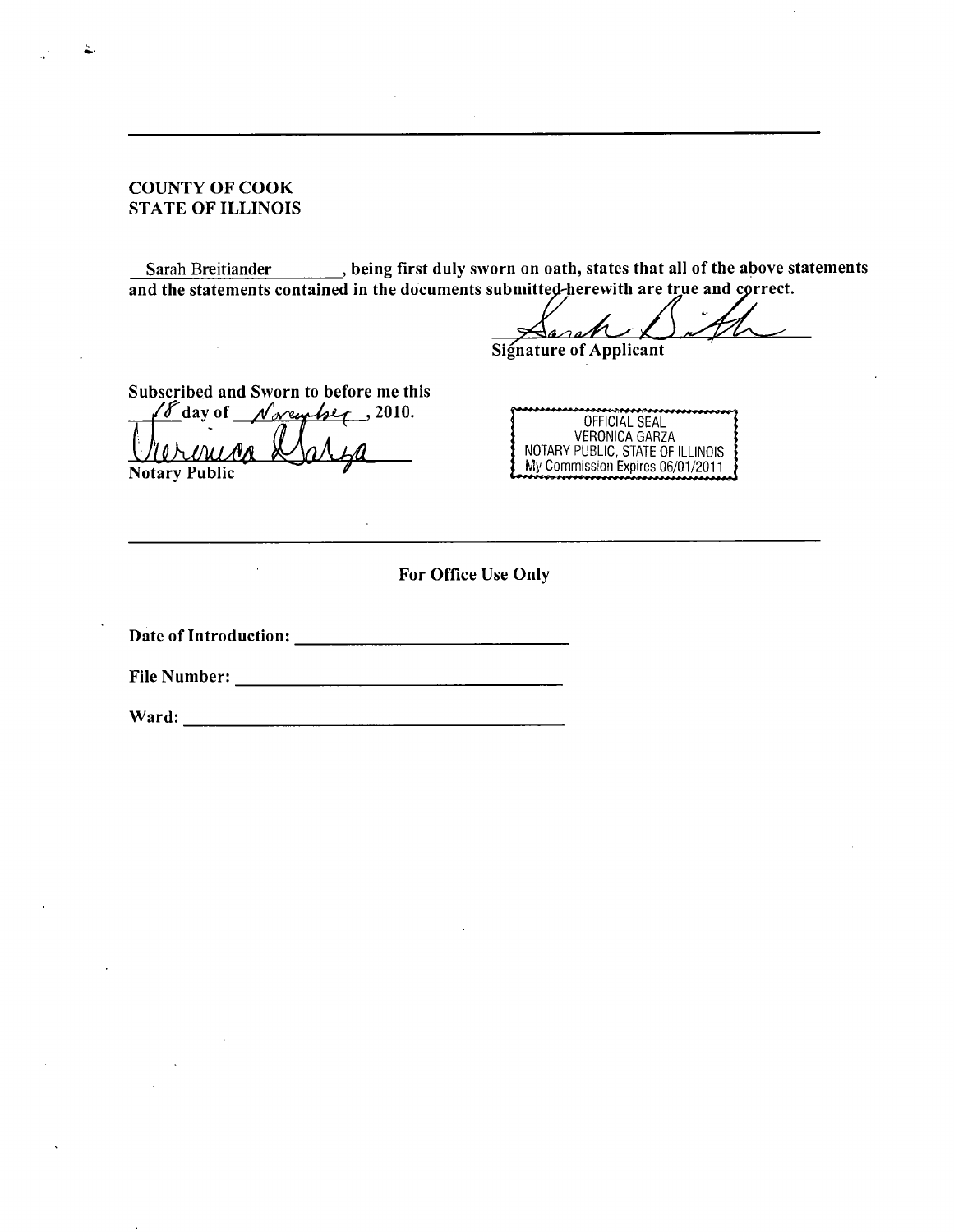#### **COUNTY OF COOK STATE OF ILLINOIS**

 $\bar{z}$ 

Sarah Breitiander **Sarah Breitiander** , being first duly sworn on oath, states that all of the above statements **and the statements contained in the documents subniitted-herewith are true and cprrect.** 

**Signature of Applicant** 

**Subscribed and Sworn to before me this**   $\sqrt{\frac{\delta}{\delta}}$  day of  $\sqrt{\frac{\delta}{\delta}}$  /2010.

**Notary Public** 

| ******************************** |
|----------------------------------|
| OFFICIAL SEAL                    |
| VERONICA GARZA                   |
| NOTARY PUBLIC, STATE OF ILLINOIS |
| My Commission Expires 06/01/2011 |
| ,,,,,,,,,,,,,,,,,,,              |

**For Office Use Only** 

**Date of Introduction:** 

**File Number:** 

**Ward:**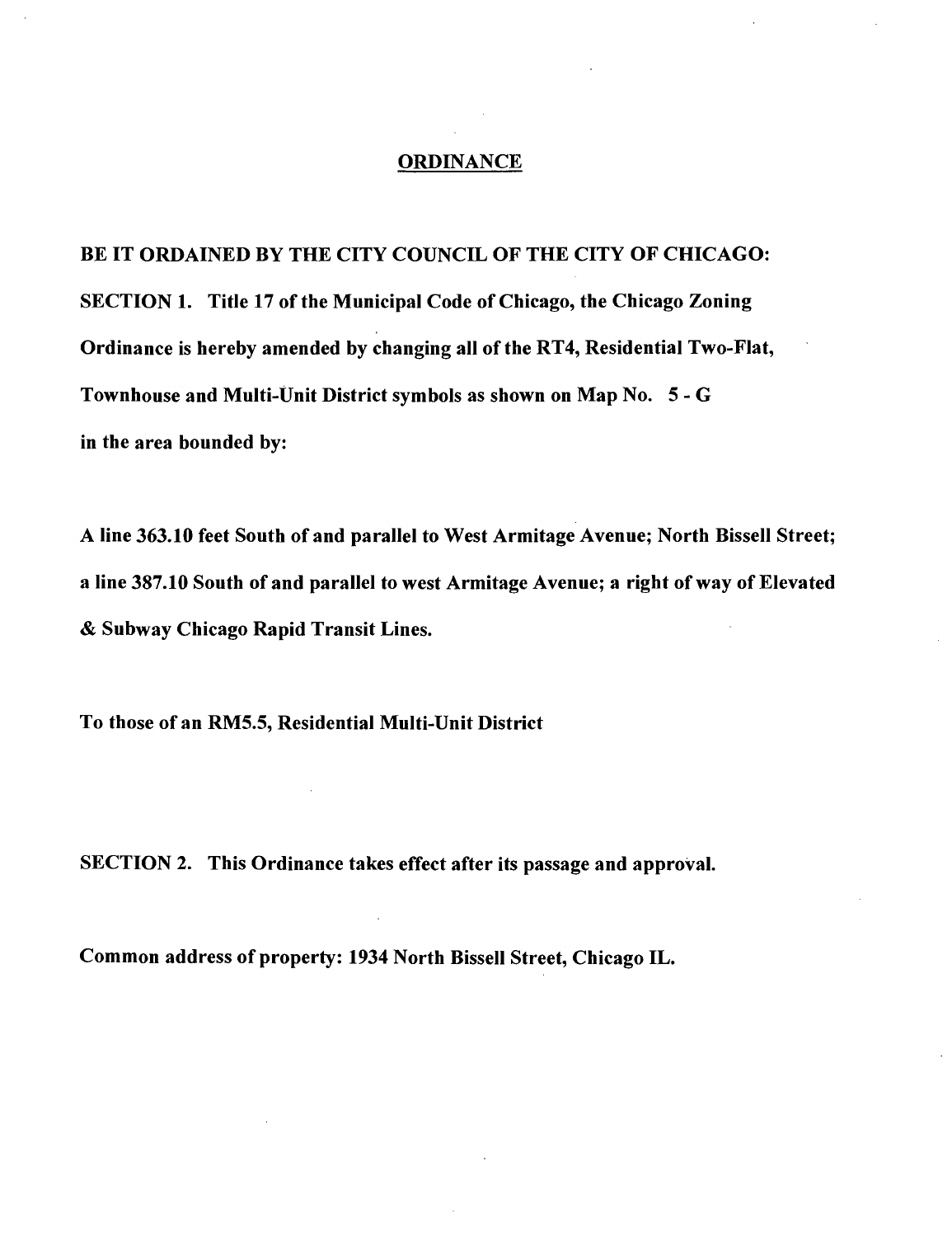#### **ORDINANCE**

**BE IT ORDAINED BY THE CITY COUNCIL OF THE CITY OF CHICAGO: SECTION 1. Title 17 of the Municipal Code of Chicago, the Chicago Zoning Ordinance is hereby amended by changing all of the RT4, Residential Two-Flat, Townhouse and Multi-Unit District symbols as shown on Map No. 5 - G in the area bounded by:** 

**A line 363.10 feet South of and parallel to West Armitage Avenue; North Bissell Street; a line 387.10 South of and parallel to west Armitage Avenue; a right of way of Elevated & Subway Chicago Rapid Transit Lines.** 

**To those of an RM5.5, Residential Multi-Unit District** 

**SECTION 2. This Ordinance takes effect after its passage and approval.** 

**Common address of property: 1934 North Bissell Street, Chicago IL.**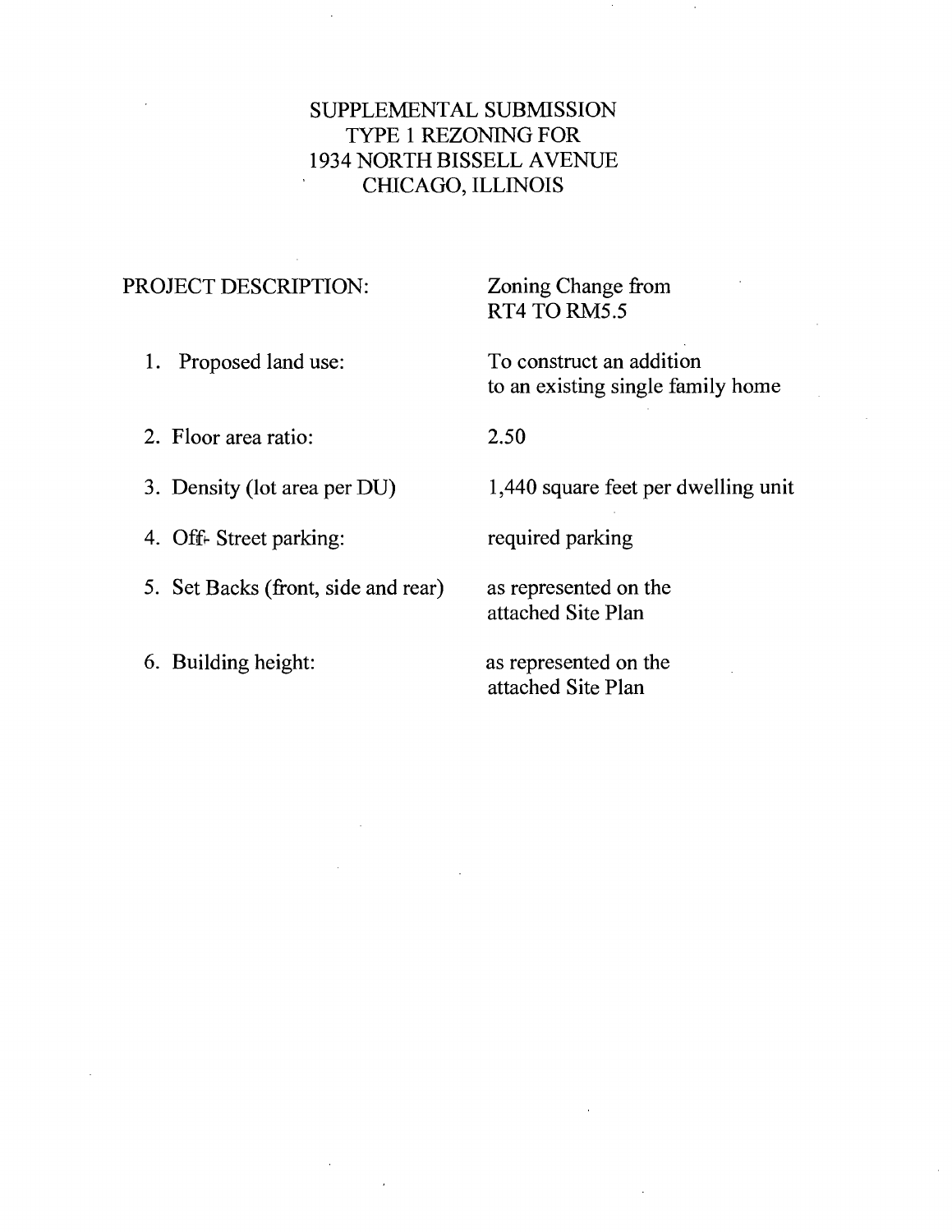## SUPPLEMENTAL SUBMISSION TYPE 1 REZONING FOR 1934 NORTH BISSELL AVENUE CfflCAGO, ILLINOIS

## PROJECT DESCRIPTION: Zoning Change from

RT4 TO RM5.5

1. Proposed land use: To construct an addition to an existing single family home

2. Floor area ratio: 2.50

4. Off- Street parking: required parking

5. Set Backs (front, side and rear) as represented on the

3. Density (lot area per DU) 1,440 square feet per dwelling unit

attached Site Plan

6. Building height: as represented on the attached Site Plan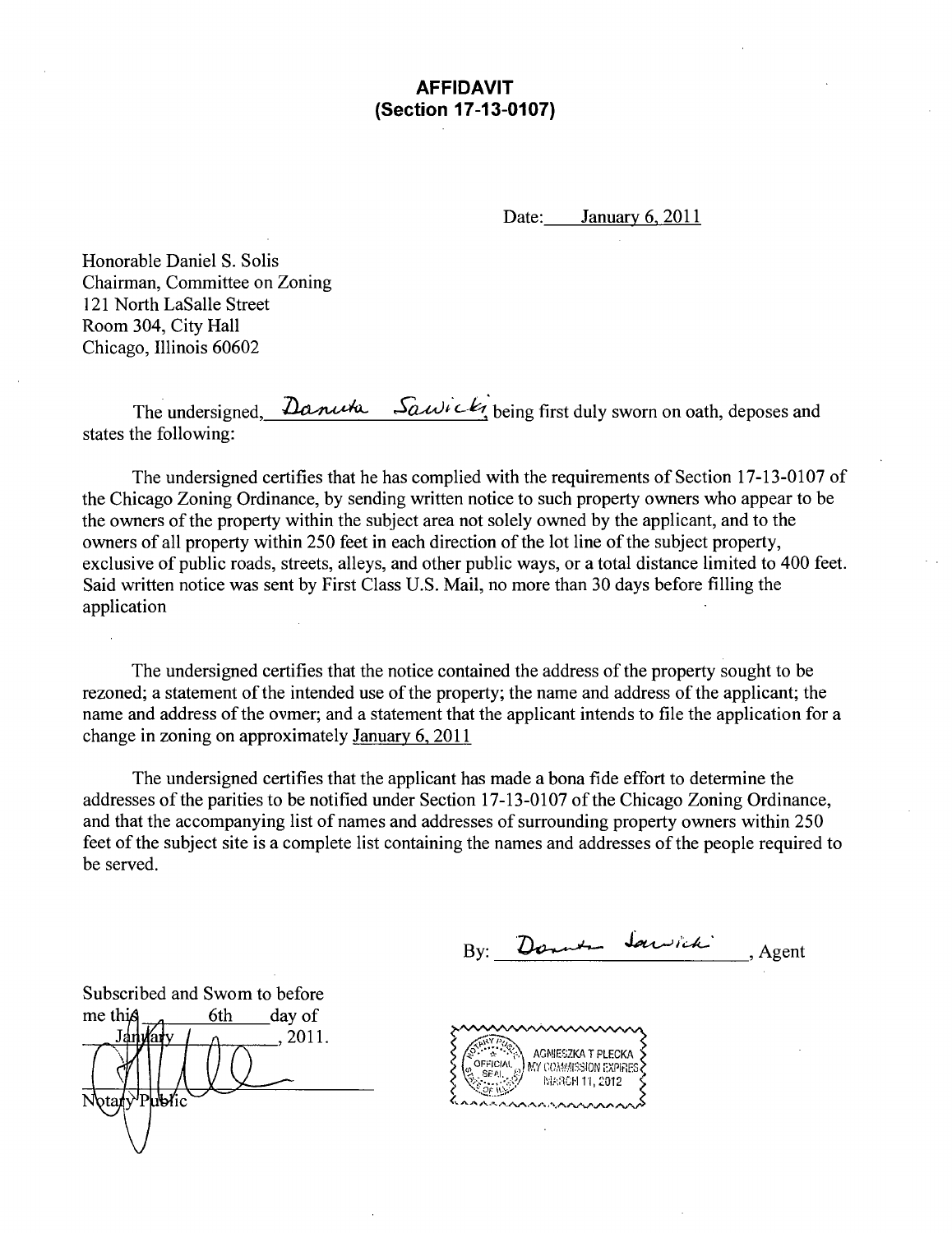## **AFFIDAVIT (Section 17-13-0107)**

Date: January 6, 2011

Honorable Daniel S. Solis Chairman, Committee on Zoning 121 North LaSalle Street Room 304, City Hall Chicago, Illinois 60602

The undersigned,  $\Delta$ **anuth**  $\Delta$  **SquUi c-** $k_1$  being first duly sworn on oath, deposes and states the following:

The undersigned certifies that he has complied with the requirements of Section 17-13-0107 of the Chicago Zoning Ordinance, by sending written notice to such property owners who appear to be the owners of the property within the subject area not solely owned by the applicant, and to the owners of all property within 250 feet in each direction of the lot line of the subject property, exclusive of public roads, streets, alleys, and other public ways, or a total distance limited to 400 feet. Said written notice was sent by First Class U.S. Mail, no more than 30 days before filling the application

The undersigned certifies that the notice contained the address of the property sought to be rezoned; a statement of the intended use of the property; the name and address of the applicant; the name and address of the ovmer; and a statement that the applicant intends to file the application for a change in zoning on approximately January 6, 2011

The undersigned certifies that the applicant has made a bona fide effort to determine the addresses of the parities to be notified under Section 17-13-0107 of the Chicago Zoning Ordinance, and that the accompanying list of names and addresses of surrounding property owners within 250 feet of the subject site is a complete list containing the names and addresses of the people required to be served.

By: Donner Jamich Agent

Subscribed and Swom to before 6th day of me this 2011.

AGMIESZKA T PLECKA OFFICIAL MY COMMISSION EXPIRES IV1K;1CH1I,£012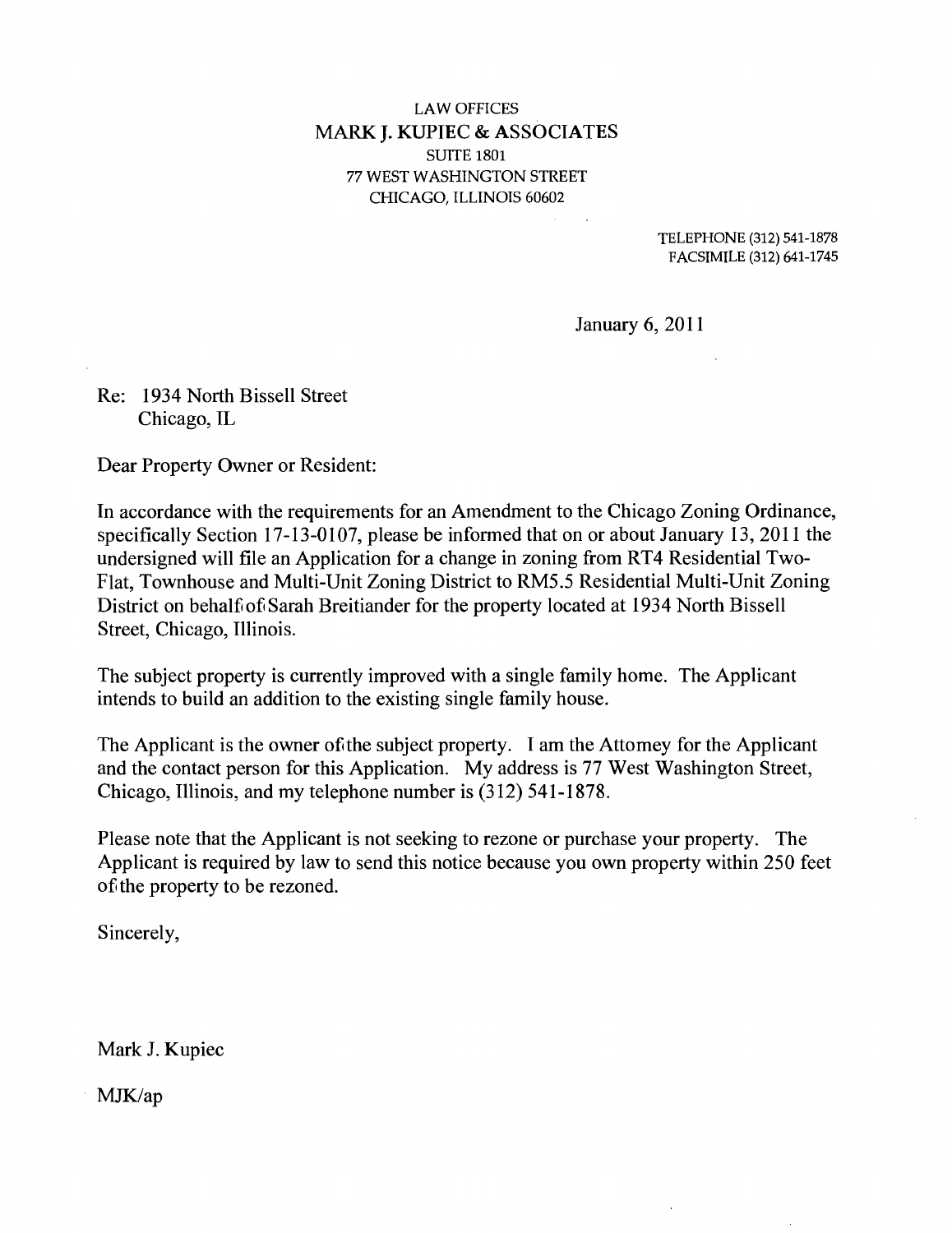## **LAW OFFICES MARK J. KUPIEC & ASSOCIATES**  SUITE 1801 77 WEST WASHINGTON STREET CHICAGO, ILLINOIS 60602

TELEPHONE (312) 541-1878 FACSIMILE (312) 641-1745

January 6, 2011

Re: 1934 North Bissell Street Chicago, IL

Dear Property Owner or Resident:

In accordance with the requirements for an Amendment to the Chicago Zoning Ordinance, specifically Section 17-13-0107, please be informed that on or about January 13, 2011 the undersigned will file an Application for a change in zoning from RT4 Residential Two-Flat, Townhouse and Multi-Unit Zoning District to RMS.5 Residential Multi-Unit Zoning District on behalf of Sarah Breitiander for the property located at 1934 North Bissell Street, Chicago, Illinois.

The subject property is currently improved with a single family home. The Applicant intends to build an addition to the existing single family house.

The Applicant is the owner of the subject property. I am the Attomey for the Applicant and the contact person for this Application. My address is 77 West Washington Street, Chicago, Illinois, and my telephone number is (312) 541-1878.

Please note that the Applicant is not seeking to rezone or purchase your property. The Applicant is required by law to send this notice because you own property within 250 feet of the property to be rezoned.

Sincerely,

Mark J. Kupiec

MJK/ap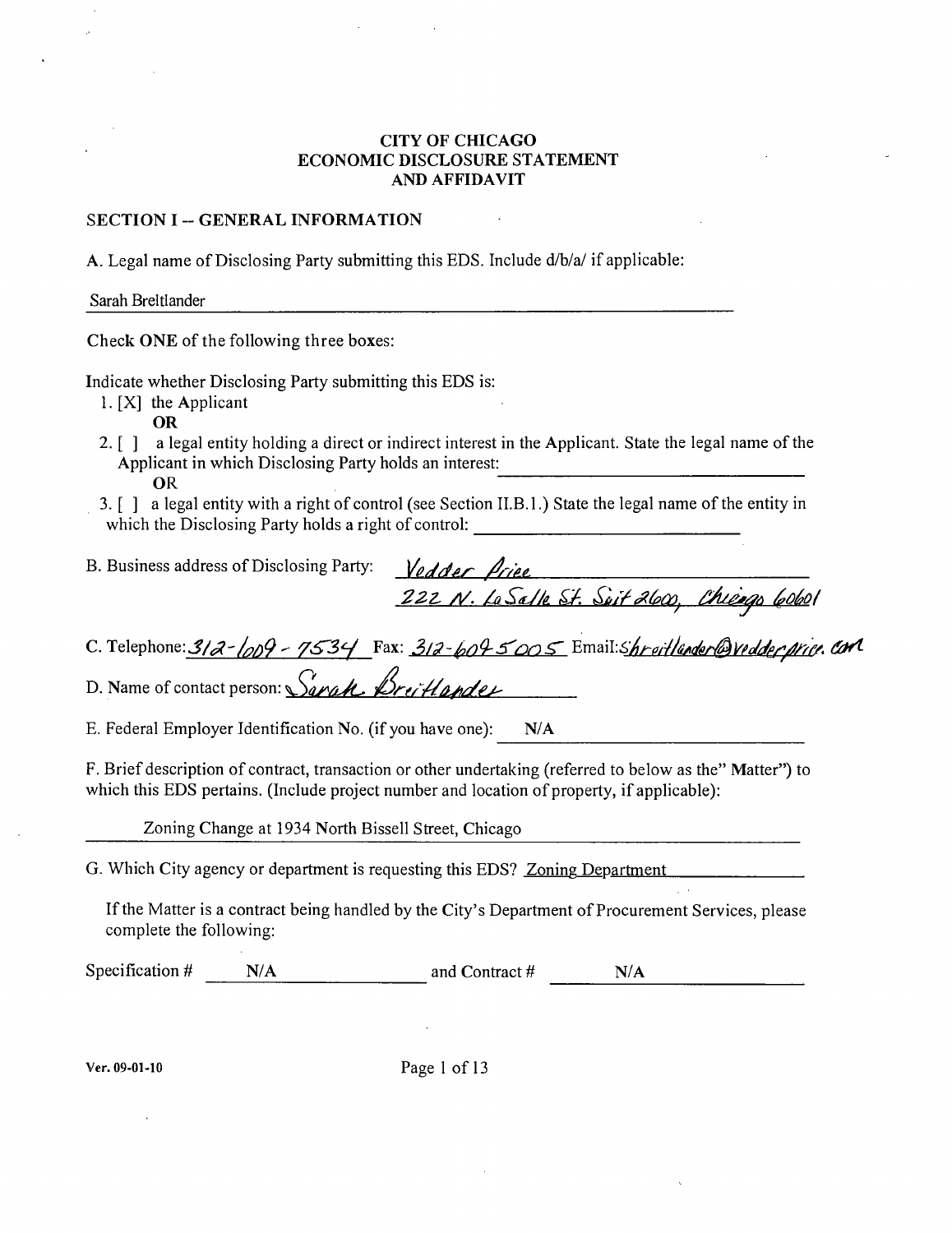#### **CITY OF CHICAGO ECONOMIC DISCLOSURE STATEMENT AND AFFIDAVIT**

#### **SECTION I -- GENERAL INFORMATION**

A. Legal name of Disclosing Party submitting this EDS. Include d/b/a/ if applicable:

Sarah Breitiander

**Check ONE of the following three boxes:** 

Indicate whether Disclosing Party submitting this EDS is:

- 1. [XJ the Applicant
	- OR
- 2. [ ] a legal entity holding a direct or indirect interest in the Applicant. State the legal name of the Applicant in which Disclosing Party holds an interest: OR
- 3. [ J a legal entity with a right of control (see Section II.B.l.) State the legal name of the entity in which the Disclosing Party holds a right of control: and the control of the control of the control of the control of the control of the control of the control of the

*B. Business address of Disclosing Party:*  $\frac{1}{\sqrt{g}}$  */* $\frac{1}{\sqrt{g}}$  */* $\frac{1}{\sqrt{g}}$ 

 $\frac{222 \text{ N.} \text{ La Salle Sf.} \text{ Súif } 2600, \text{ Chicago (obol)} }{222 \text{ N.} \text{ La Salle Sf.} \text{ Súif } 2600, \text{ Chicago (obol)} }$ C. Telephone:  $\frac{3}{2} - \frac{1}{2}$ 

D. Name of contact person: *Sarah, Breitlander* 

E. Federal Employer Tdentification No. (if you have one): N/A

F. Brief description of contract, transaction or other undertaking (referred to below as the" Matter") to which this EDS pertains. (Include project number and location of property, if applicable):

Zoning Change at 1934 North Bissell Street, Chicago

G. Which City agency or department is requesting this EDS? Zoning Department

If the Matter is a contract being handled by the City's Department of Procurement Services, please complete the following:

Specification  $\#$  N/A and Contract  $\#$  N/A

Ver. 09-01-10 Page 1 of 13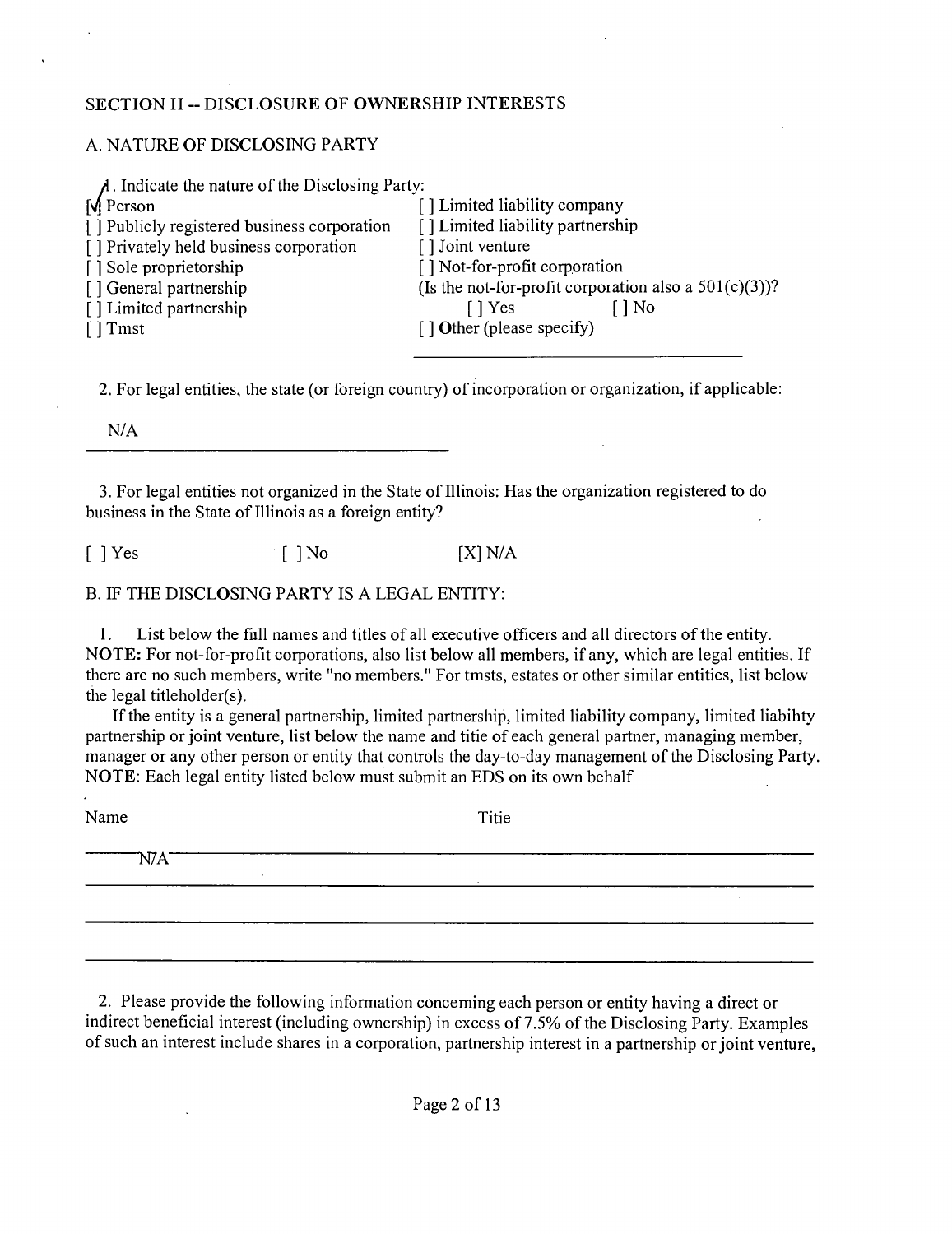#### **SECTION II - DISCLOSURE OF OWNERSHIP INTERESTS**

### A. NATURE OF DISCLOSING PARTY

| $\lambda$ . Indicate the nature of the Disclosing Party: |                                                          |
|----------------------------------------------------------|----------------------------------------------------------|
| <b>M</b> Person                                          | [] Limited liability company                             |
| [] Publicly registered business corporation              | [] Limited liability partnership                         |
| [] Privately held business corporation                   | [] Joint venture                                         |
| [] Sole proprietorship                                   | [] Not-for-profit corporation                            |
| [] General partnership                                   | (Is the not-for-profit corporation also a $501(c)(3)$ )? |
| [] Limited partnership                                   | ] No<br>[ ] Yes                                          |
| $\lceil$ Tmst                                            | $\lceil$ $\rceil$ Other (please specify)                 |
|                                                          |                                                          |

2. For legal entities, the state (or foreign country) of incorporation or organization, if applicable:

N/A

3. For legal entities not organized in the State of Tllinois; Has the organization registered to do business in the State of Illinois as a foreign entity?

 $\lceil$  ] Yes  $\lceil$  ] No  $\lceil$  [X] N/A

## B. TF THE DISCLOSING PARTY IS A LEGAL ENTITY:

1. List below the fiill names and titles of all executive officers and all directors of the entity. NOTE: For not-for-profit corporations, also list below all members, if any, which are legal entities. If there are no such members, write "no members." For tmsts, estates or other similar entities, list below the legal titleholder(s).

If the entity is a general partnership, limited partnership, limited liability company, limited liabihty partnership or joint venture, list below the name and titie of each general partner, managing member, manager or any other person or entity that controls the day-to-day management of the Disclosing Party. NOTE; Each legal entity listed below must submit an EDS on its own behalf

| Name | Titie                    |
|------|--------------------------|
|      | $\overline{\phantom{a}}$ |
|      | ٠.                       |
|      |                          |

2. Please provide the following information conceming each person or entity having a direct or indirect beneficial interest (including ownership) in excess of 7.5% of the Disclosing Party. Examples of such an interest include shares in a corporation, partnership interest in a partnership or joint venture.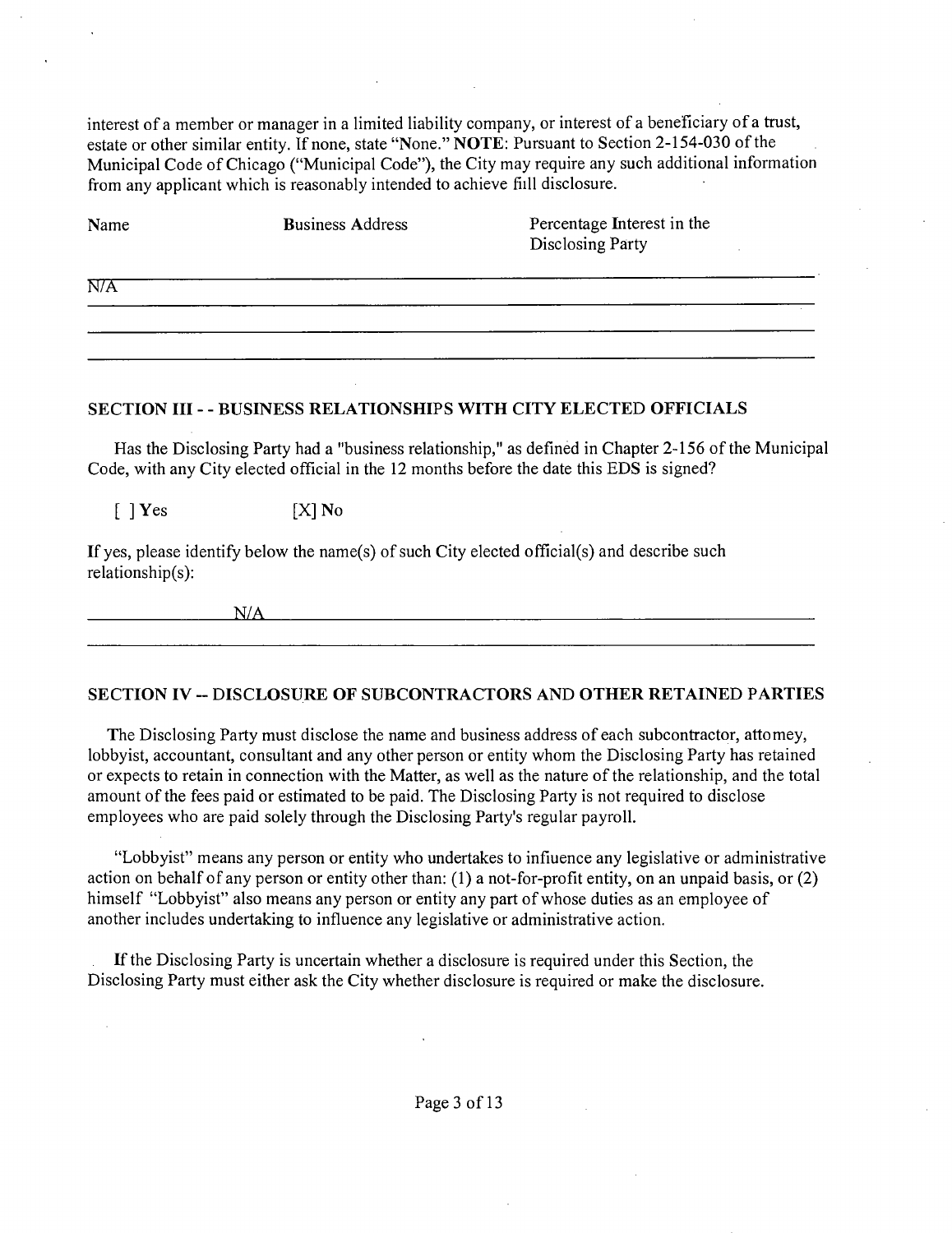interest of a member or manager in a limited liability company, or interest of a beneficiary of a trust, estate or other similar entity. If none, state "None." NOTE: Pursuant to Section 2-154-030 of the Municipal Code of Chicago ("Municipal Code"), the City may require any such additional information from any applicant which is reasonably intended to achieve fiill disclosure.

| Name | <b>Business Address</b> | Percentage Interest in the<br>Disclosing Party |
|------|-------------------------|------------------------------------------------|
| N/A  |                         |                                                |
|      |                         |                                                |

#### SECTION III - - BUSINESS RELATIONSHIPS WITH CITY ELECTED OFFICIALS

Has the Disclosing Party had a "business relationship," as defined in Chapter 2-156 of the Municipal Code, with any City elected official in the 12 months before the date this EDS is signed?

 $[ \ ]$  Yes  $[X]$  No

If yes, please identify below the name(s) of such City elected official(s) and describe such relationship(s):

*WA* 

#### SECTION IV ~ DISCLOSURE OF SUBCONTRACTORS AND OTHER RETAINED PARTIES

The Disclosing Party must disclose the name and business address of each subcontractor, attomey, lobbyist, accountant, consultant and any other person or entity whom the Disclosing Party has retained or expects to retain in connection with the Matter, as well as the nature of the relationship, and the total amount of the fees paid or estimated to be paid. The Disclosing Party is not required to disclose employees who are paid solely through the Disclosing Party's regular payroll.

"Lobbyist" means any person or entity who undertakes to infiuence any legislative or administrative action on behalf of any person or entity other than: (1) a not-for-profit entity, on an unpaid basis, or (2) himself "Lobbyist" also means any person or entity any part of whose duties as an employee of another includes undertaking to influence any legislative or administrative action.

If the Disclosing Party is uncertain whether a disclosure is required under this Section, the Disclosing Party must either ask the City whether disclosure is required or make the disclosure.

Page 3 of 13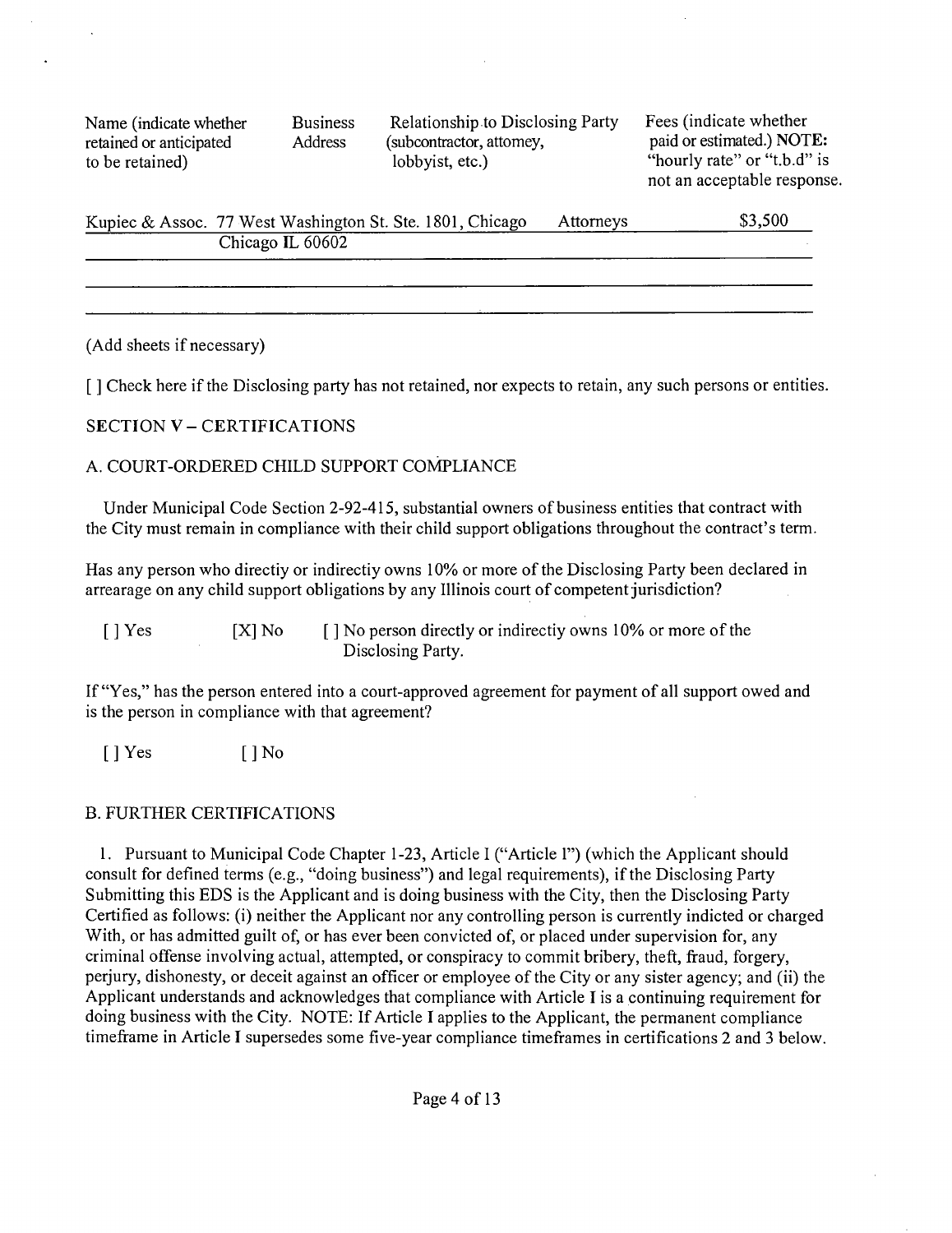Name (indicate whether Business Relationship to Disclosing Party Fees (indicate whether retained or anticipated Address (subcontractor, attomey, paid or estimated.) NOT retained or anticipated Address (subcontractor, attomey, paid or estimated.) NOTE:<br>to be retained) http://www.face.org/index.com/index.com/index.com/index.com/index.com/index.com/index.com/index.com/index.com/index.com/ind to be retained) lobbyist, etc.) The extended is the retained in the lobby value of  $\sim$  "hourly rate" or "t.b.d" is

not an acceptable response.

| Kupiec & Assoc. 77 West Washington St. Ste. 1801, Chicago | Attorneys | \$3,500 |
|-----------------------------------------------------------|-----------|---------|
| Chicago IL 60602                                          |           |         |
|                                                           |           |         |

(Add sheets if necessary)

**[ J Check here if the Disclosing party has not retained, nor expects to retain, any such persons or entities.** 

## **SECTION V - CERTIFICATIONS**

## A. COURT-ORDERED CHILD SUPPORT COMPLIANCE

Under Municipal Code Section 2-92-415, substantial owners of business entities that contract with the City must remain in compliance with their child support obligations throughout the contract's term.

Has any person who directiy or indirectiy owns 10% or more of the Disclosing Party been declared in arrearage on any child support obligations by any Illinois court of competent jurisdiction?

[ ] Yes [X] No [ ] No person directly or indirectiy owns 10% or more of the Disclosing Party.

If "Yes," has the person entered into a court-approved agreement for payment of all support owed and is the person in compliance with that agreement?

 $[$  | Yes  $[$  | No

### B. FURTHER CERTIFICATIONS

1. Pursuant to Municipal Code Chapter 1-23, Article I ("Article 1") (which the Applicant should consult for defined terms (e.g., "doing business") and legal requirements), if the Disclosing Party Submitting this EDS is the Applicant and is doing business with the City, then the Disclosing Party Certified as follows; (i) neither the Applicant nor any controlling person is currently indicted or charged With, or has admitted guilt of, or has ever been convicted of, or placed under supervision for, any criminal offense involving actual, attempted, or conspiracy to commit bribery, theft, fraud, forgery, perjury, dishonesty, or deceit against an officer or employee of the City or any sister agency; and (ii) the Applicant understands and acknowledges that compliance with Article I is a continuing requirement for doing business with the City. NOTE; If Article I applies to the Applicant, the permanent compliance timeframe in Article I supersedes some five-year compliance timeframes in certifications 2 and 3 below.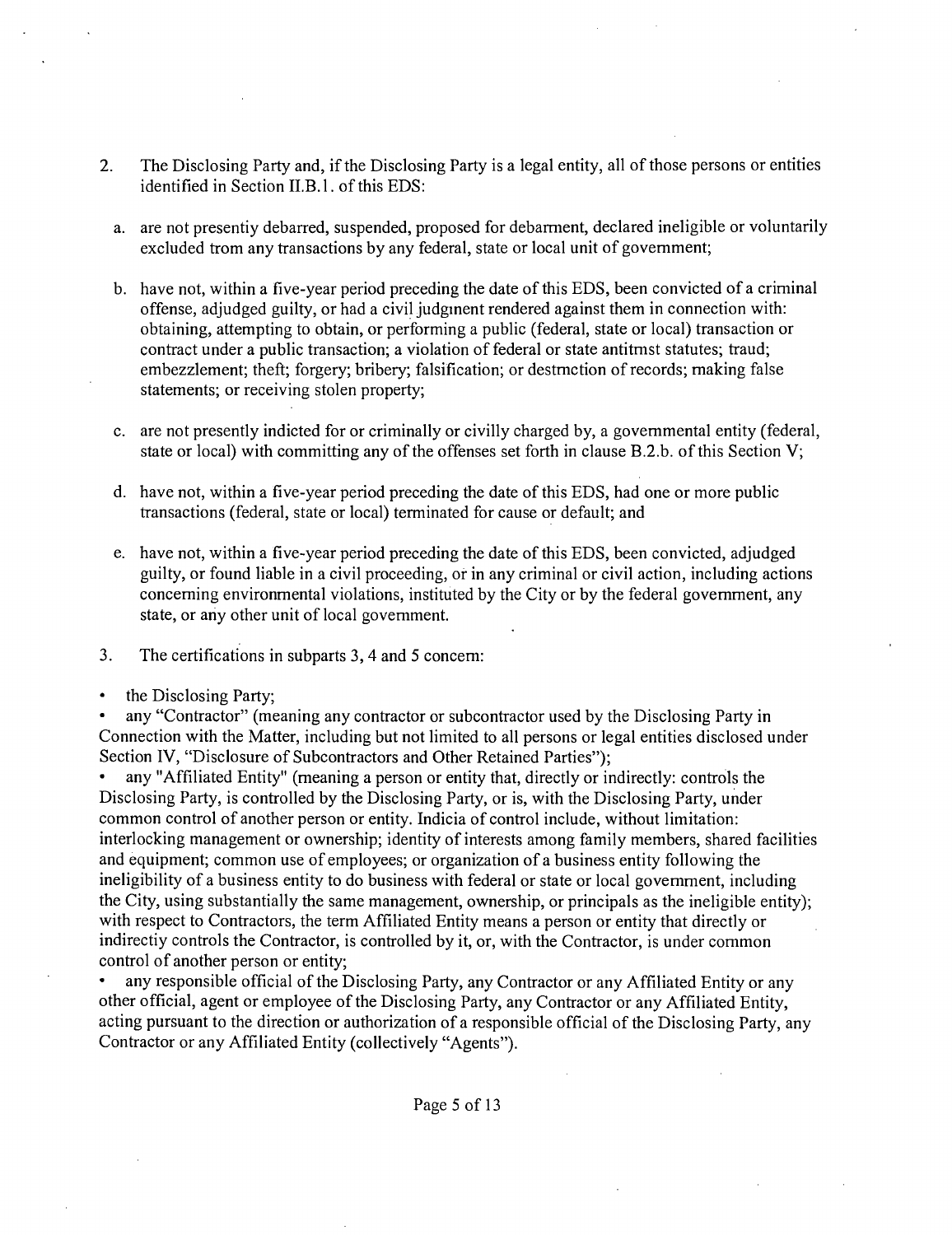- 2. The Disclosing Party and, if the Disclosing Party is a legal entity, all of those persons or entities identified in Section II.B.1. of this EDS:
	- a. are not presentiy debarred, suspended, proposed for debarment, declared ineligible or voluntarily excluded from any fransactions by any federal, state or local unit of govemment;
	- b. have not, within a five-year period preceding the date of this EDS, been convicted of a criminal offense, adjudged guilty, or had a civil judginent rendered against them in connection with; obtaining, attempting to obtain, or performing a public (federal, state or local) transaction or confract under a public transaction; a violation of federal or state antitmst statutes; fraud; embezzlement; theft; forgery; bribery; falsification; or destmction of records; making false statements; or receiving stolen property;
	- c. are not presently indicted for or criminally or civilly charged by, a govemmental entity (federal, state or local) with committing any of the offenses set forth in clause B.2.b. of this Section V;
	- d. have not, within a five-year period preceding the date of this EDS, had one or more public fransactions (federal, state or local) terminated for cause or default; and
	- e. have not, within a five-year period preceding the date of this EDS, been convicted, adjudged guilty, or found liable in a civil proceeding, or in any criminal or civil action, including actions conceming environmental violations, instituted by the City or by the federal govemment, any state, or any other unit of local govemment.
- 3. The certifications in subparts 3, 4 and 5 concem:
- $\bullet$ the Disclosing Party;

any "Contractor" (meaning any contractor or subcontractor used by the Disclosing Party in Connection with the Matter, including but not limited to all persons or legal entities disclosed under Section IV, "Disclosure of Subcontractors and Other Retained Parties");

any "Affiliated Entity" (meaning a person or entity that, directly or indirectly; confrols the Disclosing Party, is confrolled by the Disclosing Party, or is, with the Disclosing Party, under common control of another person or entity. Indicia of control include, without limitation: interlocking management or ownership; identity of interests among family members, shared facilities and equipment; common use of employees; or organization of a business entity following the ineligibility of a business entity to do business with federal or state or local govemment, including the City, using substantially the same management, ownership, or principals as the ineligible entity); with respect to Contractors, the term Affiliated Entity means a person or entity that directly or indirectiy controls the Contractor, is controlled by it, or, with the Confractor, is under common control of another person or entity;

• any responsible official of the Disclosing Party, any Contractor or any Affiliated Entity or any other official, agent or employee of the Disclosing Party, any Confractor or any Affiliated Entity, acting pursuant to the direction or authorization of a responsible official of the Disclosing Party, any Contractor or any Affiliated Entity (collectively "Agents").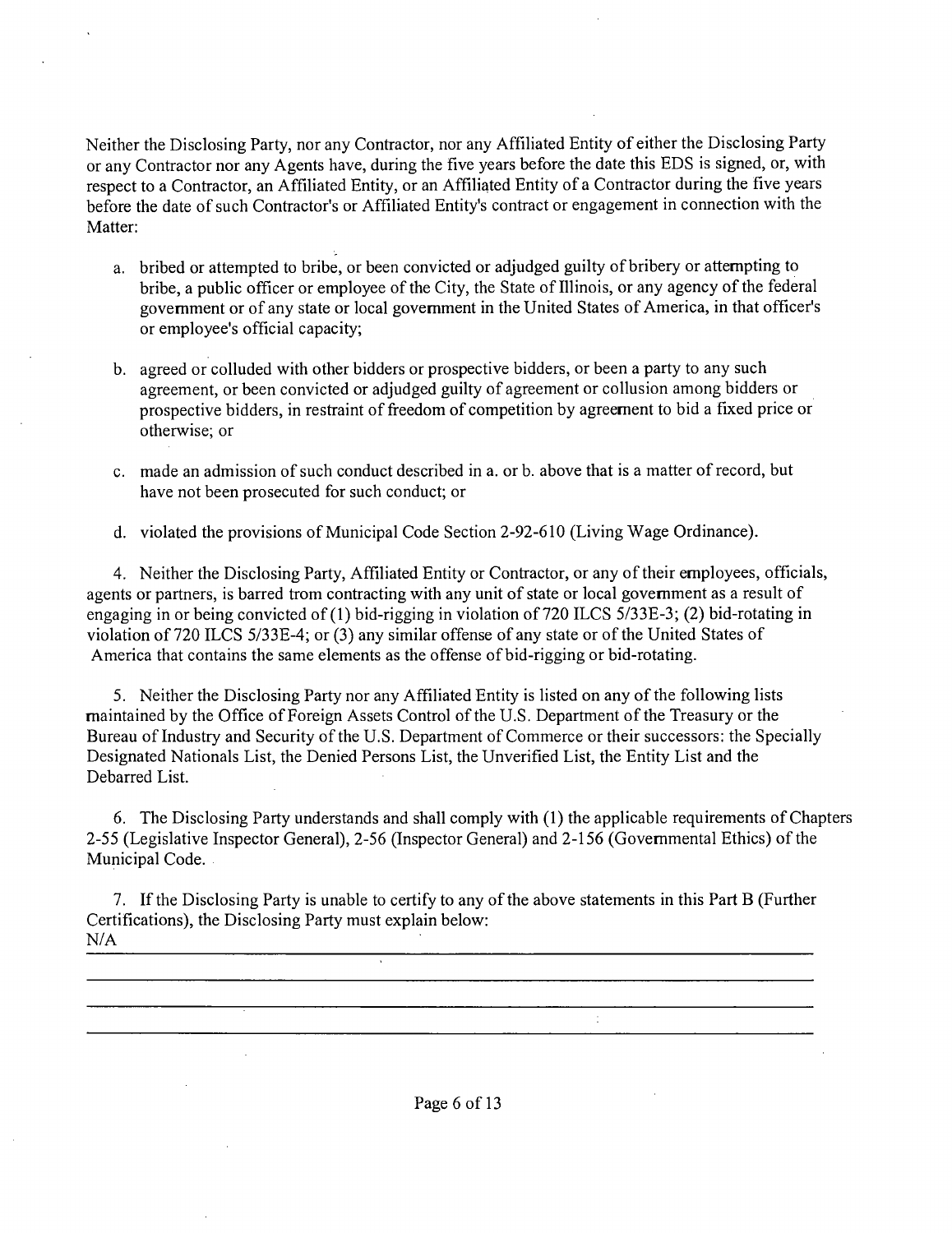Neither the Disclosing Party, nor any Confractor, nor any Affiliated Entity of either the Disclosing Party or any Contractor nor any Agents have, during the five years before the date this EDS is signed, or, with respect to a Confractor, an Affiliated Entity, or an Affiliated Entity of a Confractor during the five years before the date of such Confractor's or Affiliated Entity's confract or engagement in connection with the Matter;

- a. bribed or attempted to bribe, or been convicted or adjudged guilty of bribery or attempting to bribe, a public officer or employee of the City, the State of Illinois, or any agency ofthe federal govemment or of any state or local govemment in the United States of America, in that officer's or employee's official capacity;
- b. agreed or colluded with other bidders or prospective bidders, or been a party to any such agreement, or been convicted or adjudged guilty of agreement or collusion among bidders or prospective bidders, in resfraint of freedom of competition by agreement to bid a fixed price or otherwise; or
- c. made an admission of such conduct described in a. or b. above that is a matter of record, but have not been prosecuted for such conduct; or
- d. violated the provisions of Municipal Code Section 2-92-610 (Living Wage Ordinance).

4. Neither the Disclosing Party, Affiliated Entity or Confractor, or any of their employees, officials, agents or partners, is barred from contracting with any unit of state or local govemment as a result of engaging in or being convicted of (1) bid-rigging in violation of 720 ILCS 5/33E-3; (2) bid-rotating in violation of 720 ILCS 5/33E-4; or (3) any similar offense of any state or of the United States of America that contains the same elements as the offense of bid-rigging or bid-rotating.

5. Neither the Disclosing Party nor any Affiliated Entity is listed on any of the following lists maintained by the Office of Foreign Assets Control of the U.S. Department of the Treasury or the Bureau of Industry and Security of the U.S. Department of Commerce or their successors; the Specially Designated Nationals List, the Denied Persons List, the Unverified List, the Entity List and the Debarred List.

6. The Disclosing Party understands and shall comply with (1) the applicable requirements of Chapters 2-55 (Legislative Inspector General), 2-56 (Inspector General) and 2-156 (Governmental Ethics) of the Municipal Code.

7. If the Disclosing Party is unable to certify to any ofthe above statements in this Part B (Further Certifications), the Disclosing Party must explain below; N/A

 $\ddot{\cdot}$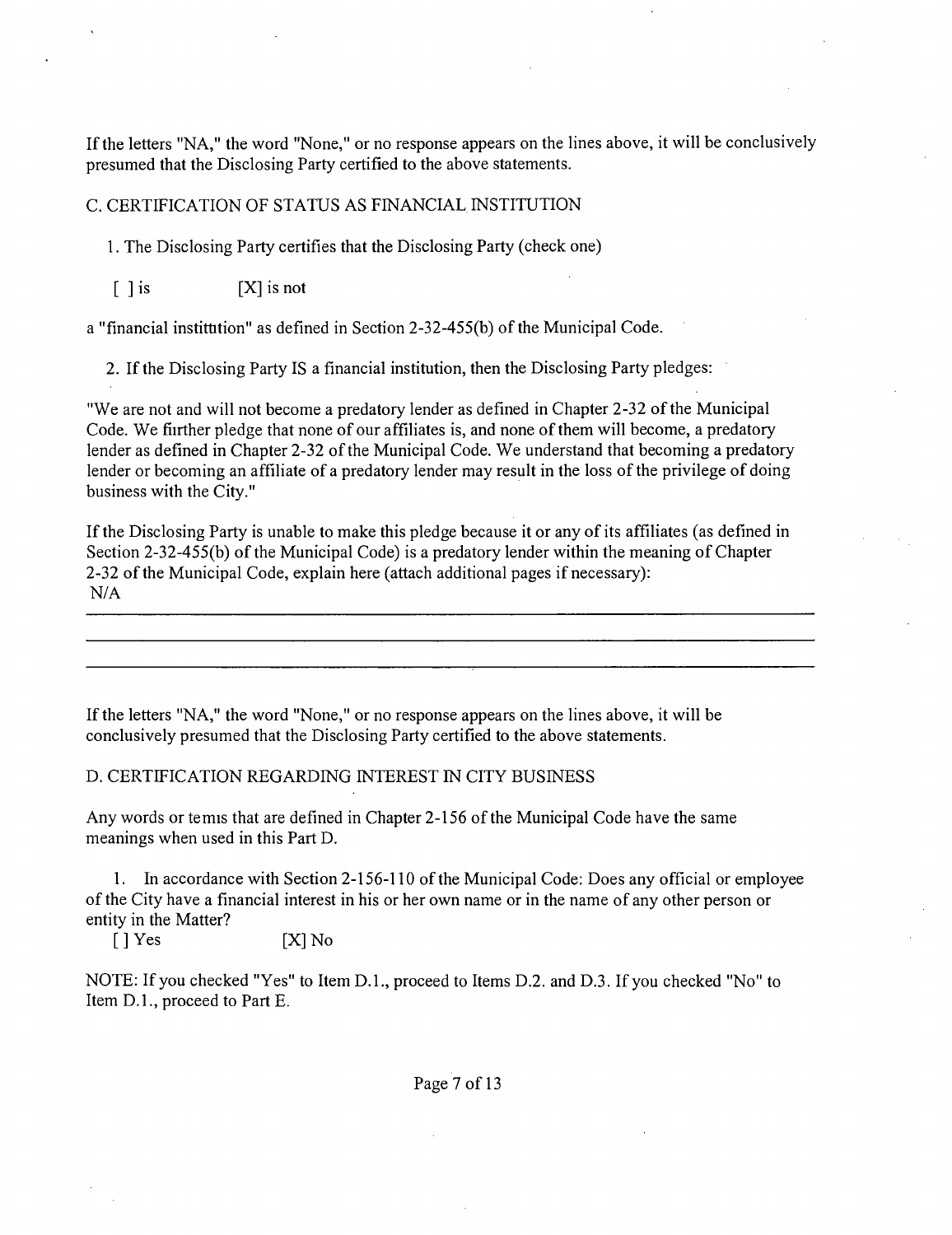If the letters "NA," the word "None," or no response appears on the lines above, it will be conclusively presumed that the Disclosing Party certified to the above statements.

#### C. CERTIFICATION OF STATUS AS FINANCIAL INSTITUTION

1. The Disclosing Party certifies that the Disclosing Party (check one)

 $\begin{bmatrix} \end{bmatrix}$  is  $[X]$  is not

a "financial instittition" as defined in Section 2-32-455(b) of the Municipal Code.

2. If the Disclosing Party IS a financial institution, then the Disclosing Party pledges;

"We are not and will not become a predatory lender as defined in Chapter 2-32 ofthe Municipal Code. We fiirther pledge that none of our affiliates is, and none of them will become, a predatory lender as defined in Chapter 2-32 of the Municipal Code. We understand that becoming a predatory lender or becoming an affiliate of a predatory lender may result in the loss of the privilege of doing business with the City."

If the Disclosing Party is unable to make this pledge because it or any of its affiliates (as defined in Section 2-32-455(b) of the Municipal Code) is a predatory lender within the meaning of Chapter 2-32 of the Municipal Code, explain here (attach additional pages if necessary); N/A

If the letters "NA," the word "None," or no response appears on the lines above, it will be conclusively presumed that the Disclosing Party certified to the above statements.

#### D. CERTIFICATION REGARDING INTEREST TN CITY BUSINESS

Any words or femis that are defined in Chapter 2-156 of the Municipal Code have the same meanings when used in this Part D.

1. Tn accordance with Section 2-156-110 ofthe Municipal Code; Does any official or employee ofthe City have a financial interest in his or her own name or in the name of any other person or entity in the Matter?

 $[ ]$  Yes  $[ X ]$  No

NOTE; If you checked "Yes" to Item D.L, proceed to Items D.2. and D.3. If you checked "No" to Item D.L, proceed to Part E.

Page 7 of 13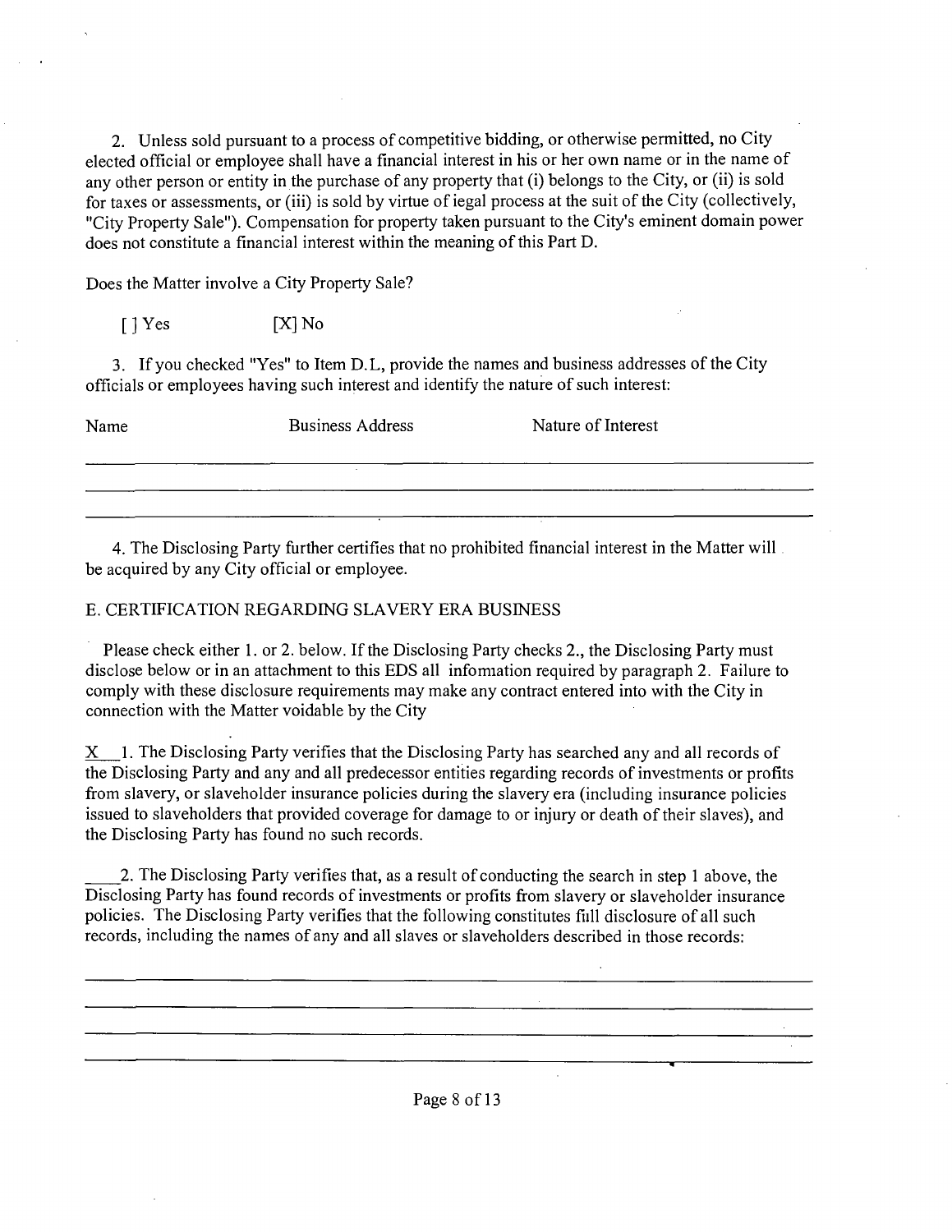2. Unless sold pursuant to a process of competitive bidding, or otherwise permitted, no City elected official or employee shall have a financial interest in his or her own name or in the name of any other person or entity in the purchase of any property that (i) belongs to the City, or (ii) is sold for taxes or assessments, or (iii) is sold by virtue of iegal process at the suit of the City (collectively, "City Property Sale"). Compensation for property taken pursuant to the City's eminent domain power does not constitute a financial interest within the meaning of this Part D.

Does the Matter involve a City Property Sale?

[ ] Yes [XJ No

3. If you checked "Yes" to Item D.L, provide the names and business addresses of the City officials or employees having such interest and identify the nature of such interest:

Name Business Address Nature of Interest

4. The Disclosing Party further certifies that no prohibited financial interest in the Matter will be acquired by any City official or employee.

#### E. CERTIFICATION REGARDING SLAVERY ERA BUSINESS

Please check either 1. or 2. below. If the Disclosing Party checks 2., the Disclosing Party must disclose below or in an attachment to this EDS all infomiation required by paragraph 2. Failure to comply with these disclosure requirements may make any contract entered into with the City in connection with the Matter voidable by the City

 $X$  1. The Disclosing Party verifies that the Disclosing Party has searched any and all records of the Disclosing Party and any and all predecessor entities regarding records of investments or profits from slavery, or slaveholder insurance policies during the slavery era (including insurance policies issued to slaveholders that provided coverage for damage to or injury or death of their slaves), and the Disclosing Party has found no such records.

2. The Disclosing Party verifies that, as a result of conducting the search in step 1 above, the Disclosing Party has found records of investments or profits from slavery or slaveholder insurance policies. The Disclosing Party verifies that the following constitutes fiill disclosure of all such records, including the names of any and all slaves or slaveholders described in those records:

<u> 1980 - Johann John Stein, martin eta inperiodo eta inperiodo eta inperiodo eta inperiodo eta inperiodo eta i</u>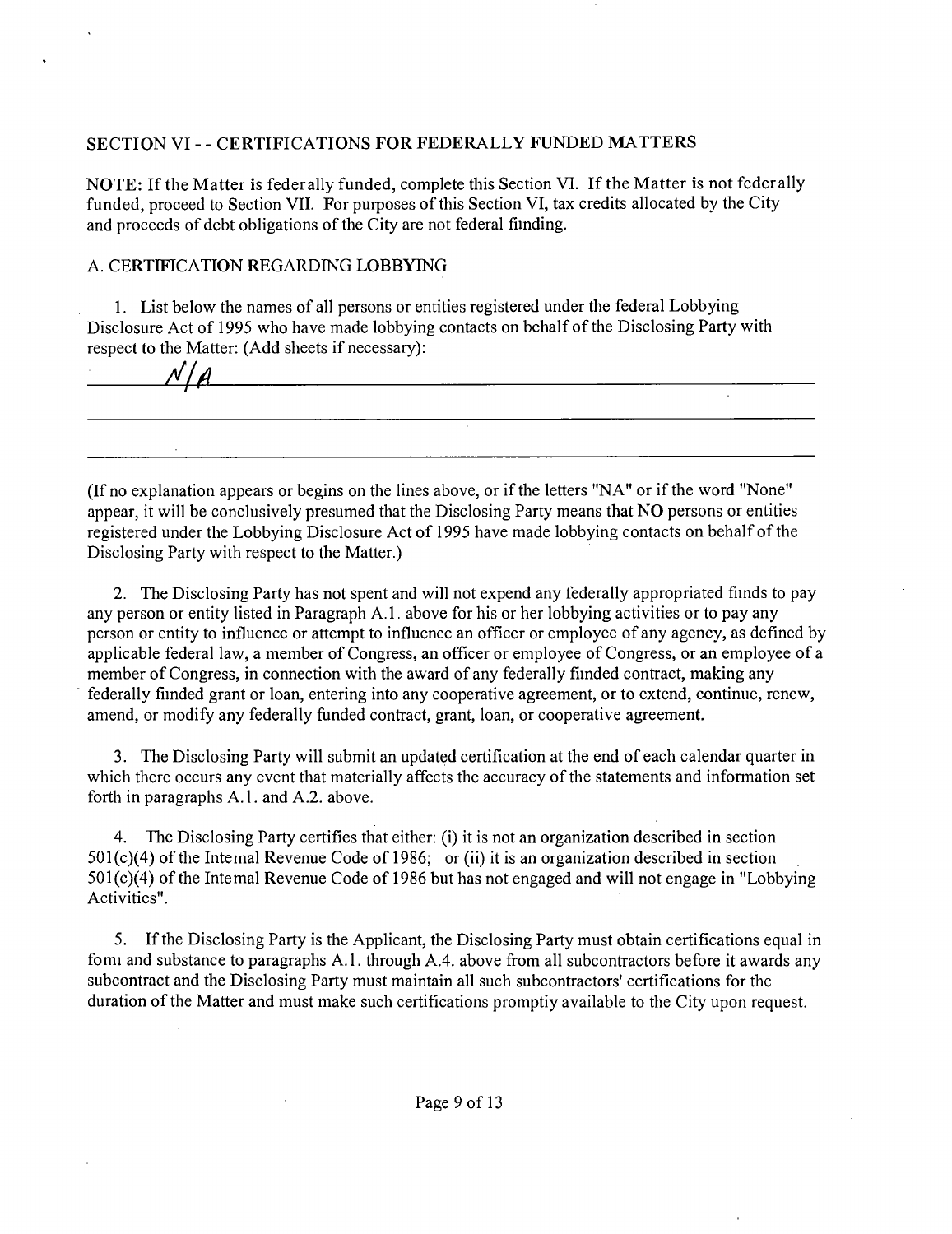### **SECTION VI - - CERTIFICATIONS FOR FEDERALLY FUNDED MATTERS**

NOTE: If the Matter is federally funded, complete this Section VT. If the Matter is not federally funded, proceed to Section VII. For purposes of this Section VI, tax credits allocated by the City and proceeds of debt obligations of the City are not federal fiinding.

#### A. CERTIFICATION REGARDING LOBBYING

1. List below the names of all persons or entities registered under the federal Lobbying Disclosure Act of 1995 who have made lobbying contacts on behalf of the Disclosing Party with respect to the Matter; (Add sheets if necessary);

 $N/A$ 

(Ifno explanation appears or begins on the lines above, or if the letters "NA" or if the word "None" appear, it will be conclusively presumed that the Disclosing Party means that NO persons or entities registered under the Lobbying Disclosure Act of 1995 have made lobbying contacts on behalf of the Disclosing Party with respect to the Matter.)

and the control of the control of the control of the control of the control of the control of the control of th

2. The Disclosing Party has not spent and will not expend any federally appropriated fiinds to pay any person or entity listed in Paragraph A. 1. above for his or her lobbying activities or to pay any person or entity to influence or attempt to influence an officer or employee of any agency, as defined by applicable federal law, a member of Congress, an officer or employee of Congress, or an employee of a member of Congress, in connection with the award of any federally fiinded contract, making any federally fiinded grant or loan, entering into any cooperative agreement, or to extend, continue, renew, amend, or modify any federally funded confract, grant, loan, or cooperative agreement.

3. The Disclosing Party will submit an updated certification at the end of each calendar quarter in which there occurs any event that materially affects the accuracy of the statements and information set forth in paragraphs A.l . and A.2. above.

4. The Disclosing Party certifies that either; (i) it is not an organization described in section  $501(c)(4)$  of the Intemal Revenue Code of 1986; or (ii) it is an organization described in section  $501(c)(4)$  of the Intemal Revenue Code of 1986 but has not engaged and will not engage in "Lobbying" Activities".

5. If the Disclosing Party is the Applicant, the Disclosing Party must obtain certifications equal in fomi and substance to paragraphs A.1. through A.4. above from all subcontractors before it awards any subcontract and the Disclosing Party must maintain all such subcontractors' certifications for the duration of the Matter and must make such certifications promptiy available to the City upon request.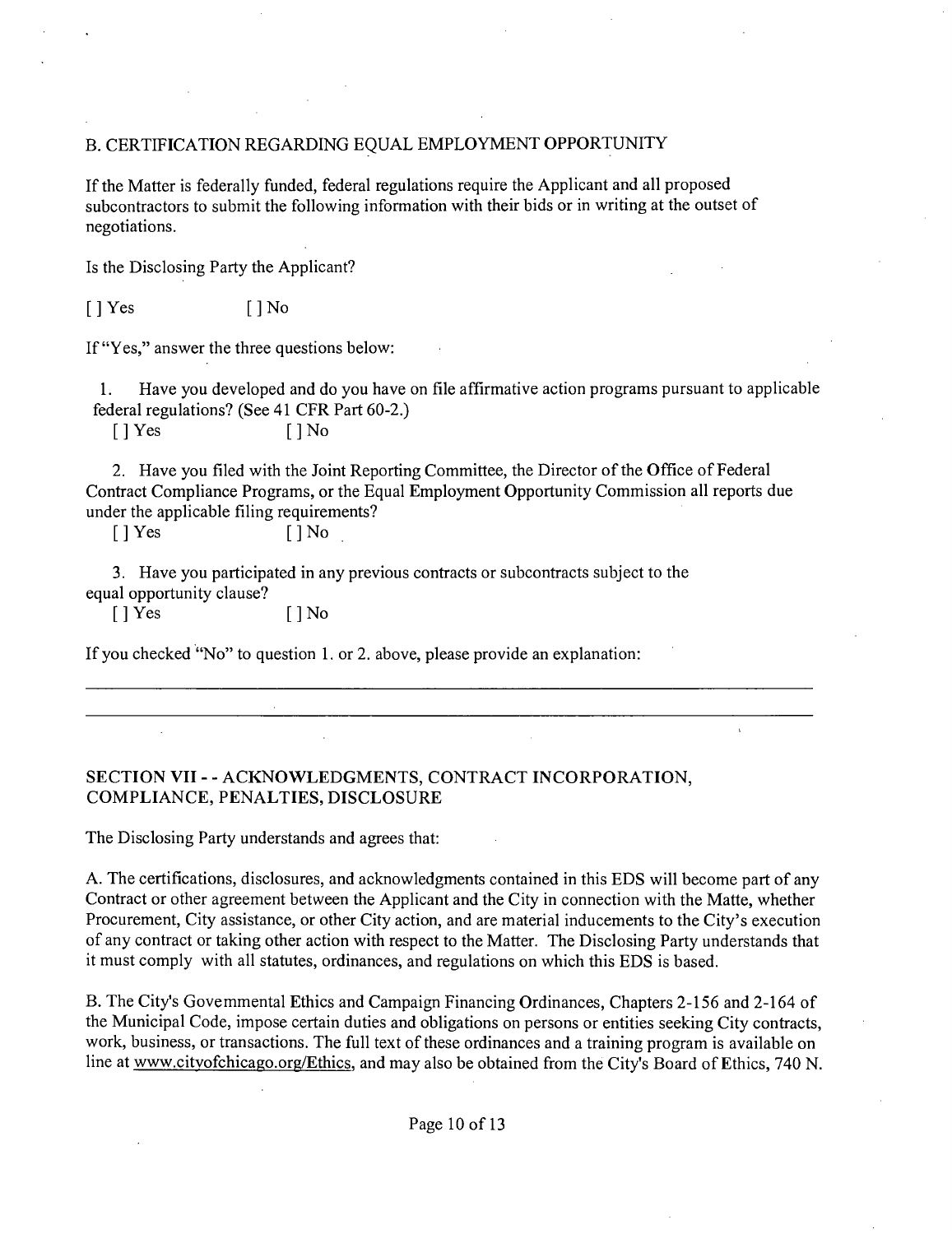#### B. CERTIFICATION REGARDING EQUAL EMPLOYMENT OPPORTUNITY

Tf the Matter is federally funded, federal regulations require the Applicant and all proposed subcontractors to submit the following information with their bids or in writing at the outset of negotiations.

Is the Disclosing Party the Applicant?

 $[$  | Yes  $[$  | No

If "Yes," answer the three questions below;

1. Have you developed and do you have on file affirmative action programs pursuant to applicable federal regulations? (See 41 CFR Part 60-2.)

 $[ ]$  Yes  $[ ]$  No

2. Have you filed with the Joint Reporting Committee, the Director of the Office of Federal Confract Compliance Programs, or the Equal Employment Opportunity Commission all reports due under the applicable filing requirements?

[JYes [JNo

3. Have you participated in any previous confracts or subconfracts subject to the equal opportunity clause?

[ J Yes [ J No

If you checked "No" to question 1. or 2. above, please provide an explanation:

### **SECTION VII - - ACKNOWLEDGMENTS, CONTRACT INCORPORATION, COMPLIANCE, PENALTIES, DISCLOSURE**

The Disclosing Party understands and agrees that;

A. The certifications, disclosures, and acknowledgments contained in this EDS will become part of any Contract or other agreement between the Applicant and the City in connection with the Matte, whether Procurement, City assistance, or other City action, and are material inducements to the City's execution of any contract or taking other action with respect to the Matter. The Disclosing Party understands that it must comply with all statutes, ordinances, and regulations on which this EDS is based.

B. The City's Govemmental Ethics and Campaign Financing Ordinances, Chapters 2-156 and 2-164 of the Municipal Code, impose certain duties and obligations on persons or entities seeking City confracts, work, business, or transactions. The full text of these ordinances and a training program is available on line at www.citvofchicago.org/Ethics, and may also be obtained from the City's Board of Ethics, 740 N.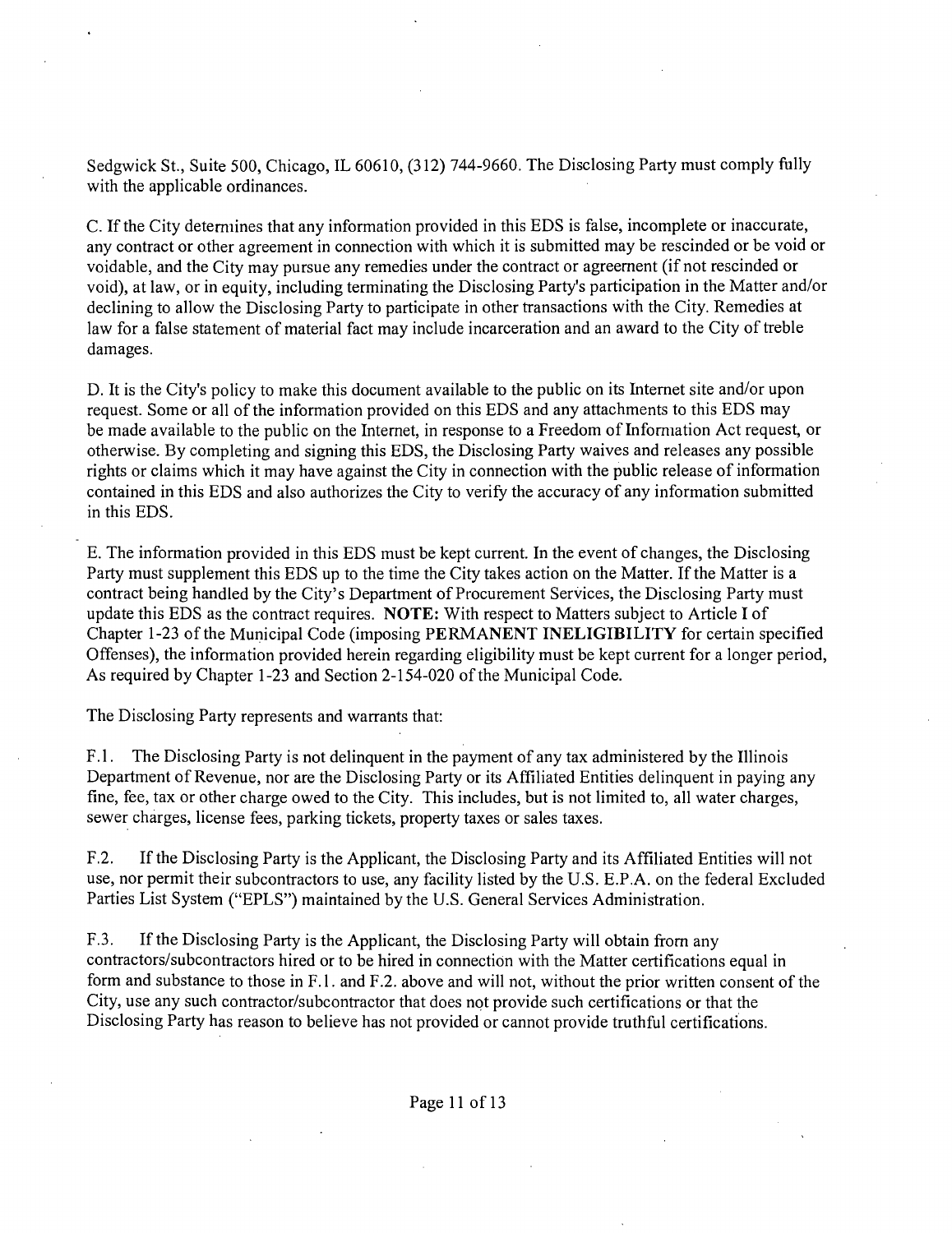Sedgwick St., Suite 500, Chicago, IL 60610, (312) 744-9660. The Disclosing Party must comply fully with the applicable ordinances.

C. If the City detemiines that any information provided in this EDS is false, incomplete or inaccurate, any contract or other agreement in connection with which it is submitted may be rescinded or be void or voidable, and the City may pursue any remedies under the contract or agreement (if not rescinded or void), at law, or in equity, including terminating the Disclosing Party's participation in the Matter and/or declining to allow the Disclosing Party to participate in other fransactions with the City. Remedies at law for a false statement of material fact may include incarceration and an award to the City of freble damages.

D. It is the Cify's policy to make this document available to the public on its Internet site and/or upon request. Some or all of the information provided on this EDS and any attachments to this EDS may be made available to the public on the Intemet, in response to a Freedom of Infomiation Act request, or otherwise. By completing and signing this EDS, the Disclosing Party waives and releases any possible rights or claims which it may have against the City in connection with the public release of information contained in this EDS and also authorizes the City to verify the accuracy of any information submitted in this EDS.

E. The information provided in this EDS must be kept current. Tn the event of changes, the Disclosing Party must supplement this EDS up to the time the City takes action on the Matter. Tf the Matter is a contract being handled by the City's Department of Procurement Services, the Disclosing Party must update this EDS as the confract requires. NOTE: With respect to Matters subject to Article I of Chapter 1-23 of the Municipal Code (imposing PERMANENT INELIGIBILITY for certain specified Offenses), the information provided herein regarding eligibility must be kept current for a longer period. As required by Chapter 1-23 and Section 2-154-020 of the Municipal Code.

The Disclosing Party represents and warrants that;

F.1. The Disclosing Party is not delinguent in the payment of any tax administered by the Illinois Department of Revenue, nor are the Disclosing Party or its Affiliated Entities delinquent in paying any fine, fee, tax or other charge owed to the City. This includes, but is not limited to, all water charges, sewer charges, license fees, parking tickets, property taxes or sales taxes.

F.2. Tf the Disclosing Party is the Applicant, the Disclosing Party and its Affiliated Entities will not use, nor permit their subconfractors to use, any facility listed by the U.S. E.P.A. on the federal Excluded Parties List System ("EPLS") maintained by the U.S. General Services Administration.

F.3. Tf the Disclosing Party is the Applicant, the Disclosing Party will obtain from any confractors/subconfractors hired or to be hired in connection with the Matter certifications equal in form and substance to those in F.l. and F.2. above and will not, without the prior written consent of the City, use any such confractor/subconfractor that does not provide such certifications or that the Disclosing Party has reason to believe has not provided or cannot provide truthful certifications.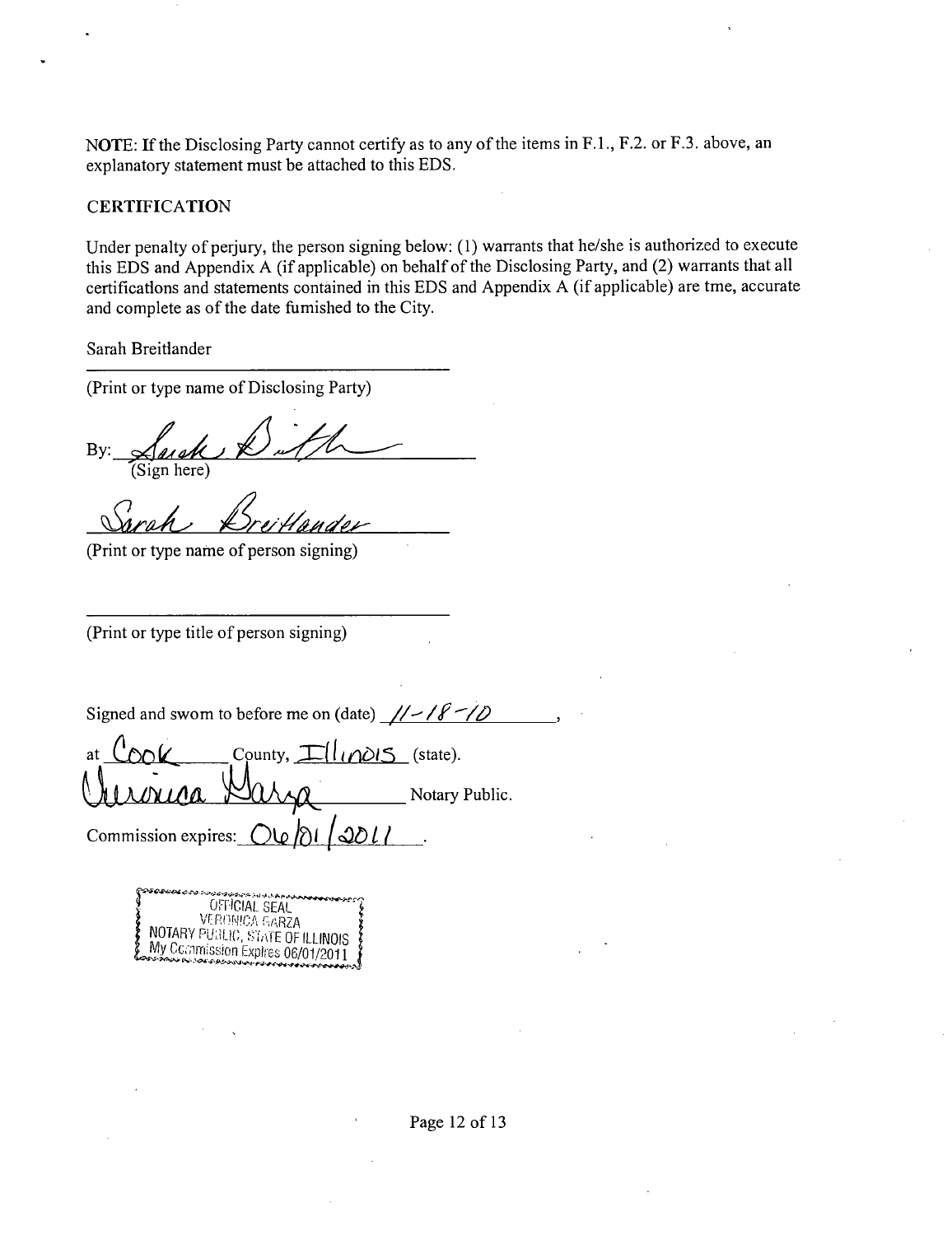NOTE; If the Disclosing Party cannot certify as to any of the items in F.L, F.2. or F.3. above, an explanatory statement must be attached to this EDS.

#### **CERTIFICATION**

Under penalty of perjury, the person signing below; (1) warrants that he/she is authorized to execute this EDS and Appendix A (ifapplicable) on behalf of the Disclosing Party, and (2) warrants that all certifications and statements contained in this EDS and Appendix A (if applicable) are tme, accurate and complete as of the date fumished to the City.

Sarah Breitiander

(Print or type name of Disclosing Party)

By: Such  $R$  of  $U$ (Sign here)

(Print or type name of person signing)

(Print or type title of person signing)

Signed and swom to before me on (date)  $\frac{1}{\sqrt{8}}$ 

at  $\bigcup_{n\in\mathbb{N}}(K)$  County,  $\bigcup_{n\in\mathbb{N}}\bigcup_{n\in\mathbb{N}}(S)$  (state). Notary Public. *Commission expires:*  $O(\sqrt{d})$  *| 2011* 

| ራራ አውታረግ። አሁን አስተካት <b>አውቃው ውስጥ</b>              |
|--------------------------------------------------|
| OFFICIAL SEAL                                    |
| <b>VERONICA GARZA</b>                            |
|                                                  |
| NOTARY PUBLIC, STATE OF ILLINOIS                 |
| My Commission Expires 06/01/2011                 |
| OBSTORIA DE TOR E DISTANTIAN PARA DE PRANADO POR |